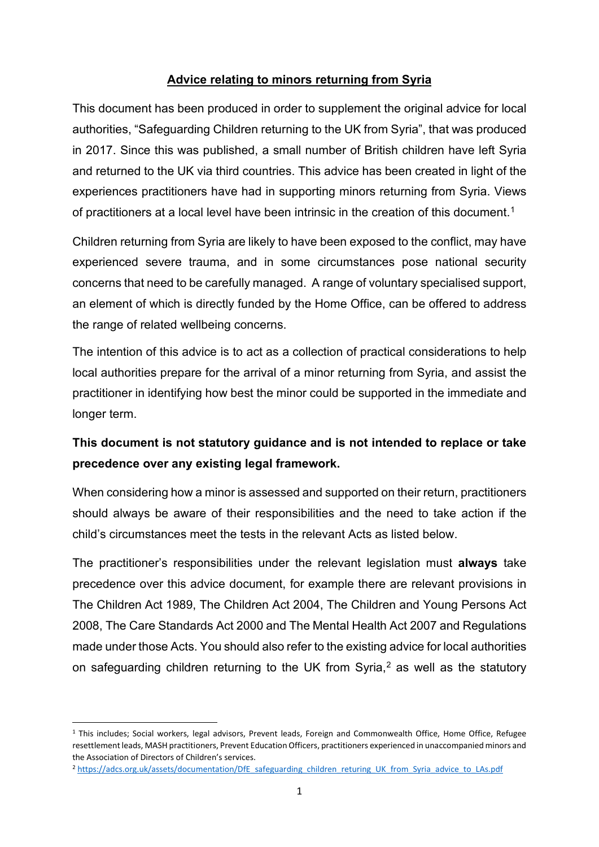#### **Advice relating to minors returning from Syria**

This document has been produced in order to supplement the original advice for local authorities, "Safeguarding Children returning to the UK from Syria", that was produced in 2017. Since this was published, a small number of British children have left Syria and returned to the UK via third countries. This advice has been created in light of the experiences practitioners have had in supporting minors returning from Syria. Views of practitioners at a local level have been intrinsic in the creation of this document.<sup>1</sup>

Children returning from Syria are likely to have been exposed to the conflict, may have experienced severe trauma, and in some circumstances pose national security concerns that need to be carefully managed. A range of voluntary specialised support, an element of which is directly funded by the Home Office, can be offered to address the range of related wellbeing concerns.

The intention of this advice is to act as a collection of practical considerations to help local authorities prepare for the arrival of a minor returning from Syria, and assist the practitioner in identifying how best the minor could be supported in the immediate and longer term.

# **This document is not statutory guidance and is not intended to replace or take precedence over any existing legal framework.**

When considering how a minor is assessed and supported on their return, practitioners should always be aware of their responsibilities and the need to take action if the child's circumstances meet the tests in the relevant Acts as listed below.

The practitioner's responsibilities under the relevant legislation must **always** take precedence over this advice document, for example there are relevant provisions in The Children Act 1989, The Children Act 2004, The Children and Young Persons Act 2008, The Care Standards Act 2000 and The Mental Health Act 2007 and Regulations made under those Acts. You should also refer to the existing advice for local authorities on safeguarding children returning to the UK from Syria, $<sup>2</sup>$  $<sup>2</sup>$  $<sup>2</sup>$  as well as the statutory</sup>

<span id="page-0-0"></span><sup>1</sup> This includes; Social workers, legal advisors, Prevent leads, Foreign and Commonwealth Office, Home Office, Refugee resettlement leads, MASH practitioners, Prevent Education Officers, practitioners experienced in unaccompanied minors and the Association of Directors of Children's services.

<span id="page-0-1"></span><sup>&</sup>lt;sup>2</sup> [https://adcs.org.uk/assets/documentation/DfE\\_safeguarding\\_children\\_returing\\_UK\\_from\\_Syria\\_advice\\_to\\_LAs.pdf](https://adcs.org.uk/assets/documentation/DfE_safeguarding_children_returing_UK_from_Syria_advice_to_LAs.pdf)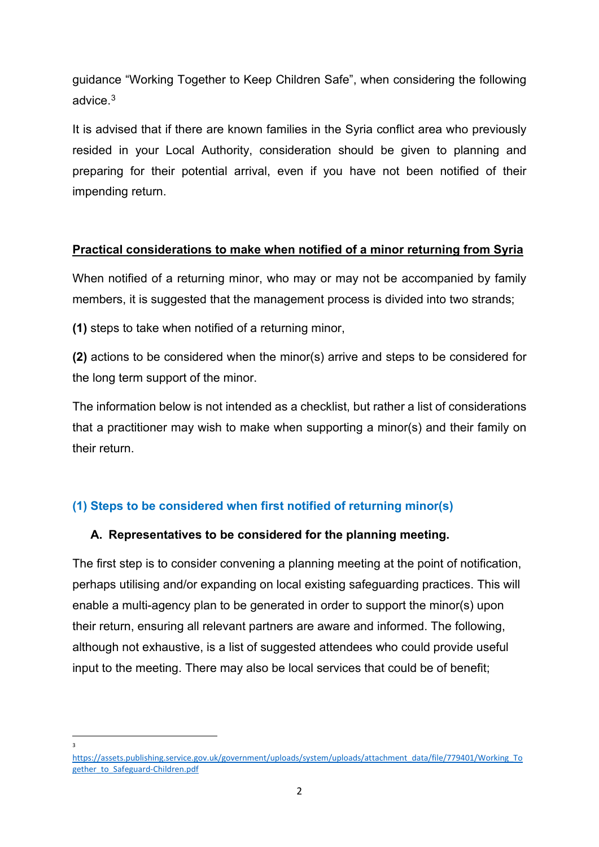guidance "Working Together to Keep Children Safe", when considering the following advice.[3](#page-1-0)

It is advised that if there are known families in the Syria conflict area who previously resided in your Local Authority, consideration should be given to planning and preparing for their potential arrival, even if you have not been notified of their impending return.

#### **Practical considerations to make when notified of a minor returning from Syria**

When notified of a returning minor, who may or may not be accompanied by family members, it is suggested that the management process is divided into two strands;

**(1)** steps to take when notified of a returning minor,

**(2)** actions to be considered when the minor(s) arrive and steps to be considered for the long term support of the minor.

The information below is not intended as a checklist, but rather a list of considerations that a practitioner may wish to make when supporting a minor(s) and their family on their return.

# **(1) Steps to be considered when first notified of returning minor(s)**

### **A. Representatives to be considered for the planning meeting.**

The first step is to consider convening a planning meeting at the point of notification, perhaps utilising and/or expanding on local existing safeguarding practices. This will enable a multi-agency plan to be generated in order to support the minor(s) upon their return, ensuring all relevant partners are aware and informed. The following, although not exhaustive, is a list of suggested attendees who could provide useful input to the meeting. There may also be local services that could be of benefit;

3

<span id="page-1-0"></span>[https://assets.publishing.service.gov.uk/government/uploads/system/uploads/attachment\\_data/file/779401/Working\\_To](https://assets.publishing.service.gov.uk/government/uploads/system/uploads/attachment_data/file/779401/Working_Together_to_Safeguard-Children.pdf) [gether\\_to\\_Safeguard-Children.pdf](https://assets.publishing.service.gov.uk/government/uploads/system/uploads/attachment_data/file/779401/Working_Together_to_Safeguard-Children.pdf)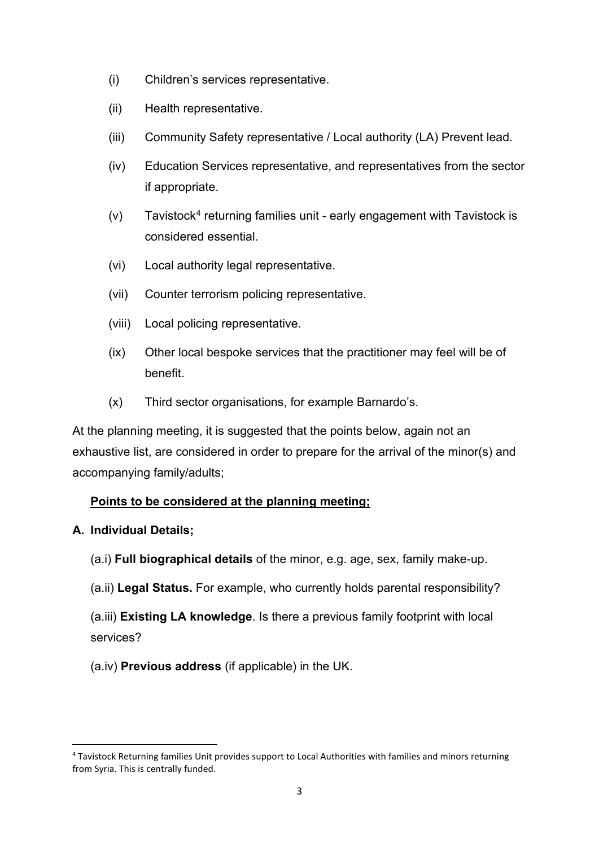- (i) Children's services representative.
- (ii) Health representative.
- (iii) Community Safety representative / Local authority (LA) Prevent lead.
- (iv) Education Services representative, and representatives from the sector if appropriate.
- $(v)$  Tavistock<sup>[4](#page-2-0)</sup> returning families unit early engagement with Tavistock is considered essential.
- (vi) Local authority legal representative.
- (vii) Counter terrorism policing representative.
- (viii) Local policing representative.
- (ix) Other local bespoke services that the practitioner may feel will be of benefit.
- (x) Third sector organisations, for example Barnardo's.

At the planning meeting, it is suggested that the points below, again not an exhaustive list, are considered in order to prepare for the arrival of the minor(s) and accompanying family/adults;

# **Points to be considered at the planning meeting;**

### **A. Individual Details;**

- (a.i) **Full biographical details** of the minor, e.g. age, sex, family make-up.
- (a.ii) **Legal Status.** For example, who currently holds parental responsibility?
- (a.iii) **Existing LA knowledge**. Is there a previous family footprint with local services?
- (a.iv) **Previous address** (if applicable) in the UK.

<span id="page-2-0"></span><sup>4</sup> Tavistock Returning families Unit provides support to Local Authorities with families and minors returning from Syria. This is centrally funded.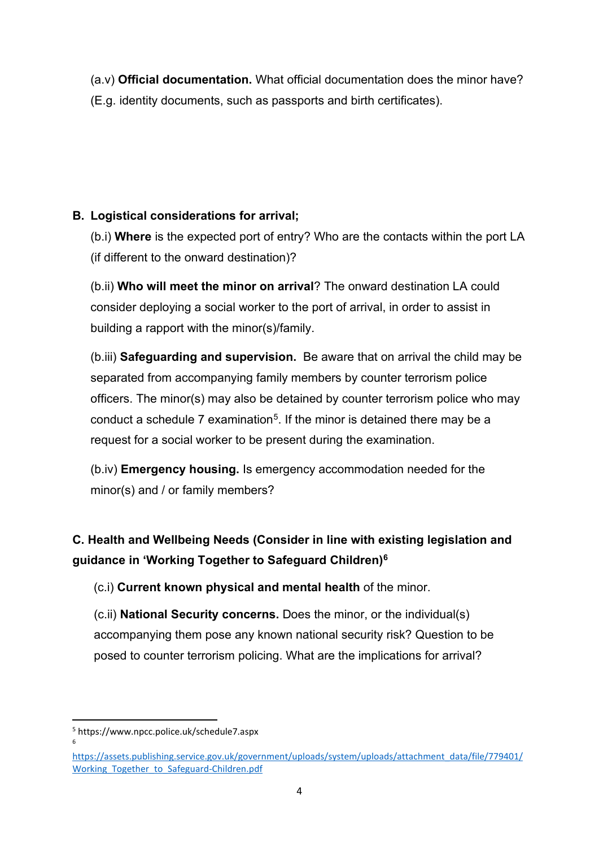(a.v) **Official documentation.** What official documentation does the minor have? (E.g. identity documents, such as passports and birth certificates).

# **B. Logistical considerations for arrival;**

(b.i) **Where** is the expected port of entry? Who are the contacts within the port LA (if different to the onward destination)?

(b.ii) **Who will meet the minor on arrival**? The onward destination LA could consider deploying a social worker to the port of arrival, in order to assist in building a rapport with the minor(s)/family.

(b.iii) **Safeguarding and supervision.** Be aware that on arrival the child may be separated from accompanying family members by counter terrorism police officers. The minor(s) may also be detained by counter terrorism police who may conduct a schedule 7 examination<sup>5</sup>. If the minor is detained there may be a request for a social worker to be present during the examination.

(b.iv) **Emergency housing.** Is emergency accommodation needed for the minor(s) and / or family members?

# **C. Health and Wellbeing Needs (Consider in line with existing legislation and guidance in 'Working Together to Safeguard Children)[6](#page-3-1)**

(c.i) **Current known physical and mental health** of the minor.

(c.ii) **National Security concerns.** Does the minor, or the individual(s) accompanying them pose any known national security risk? Question to be posed to counter terrorism policing. What are the implications for arrival?

<span id="page-3-0"></span><sup>5</sup> https://www.npcc.police.uk/schedule7.aspx 6

<span id="page-3-1"></span>[https://assets.publishing.service.gov.uk/government/uploads/system/uploads/attachment\\_data/file/779401/](https://assets.publishing.service.gov.uk/government/uploads/system/uploads/attachment_data/file/779401/Working_Together_to_Safeguard-Children.pdf) Working Together to Safeguard-Children.pdf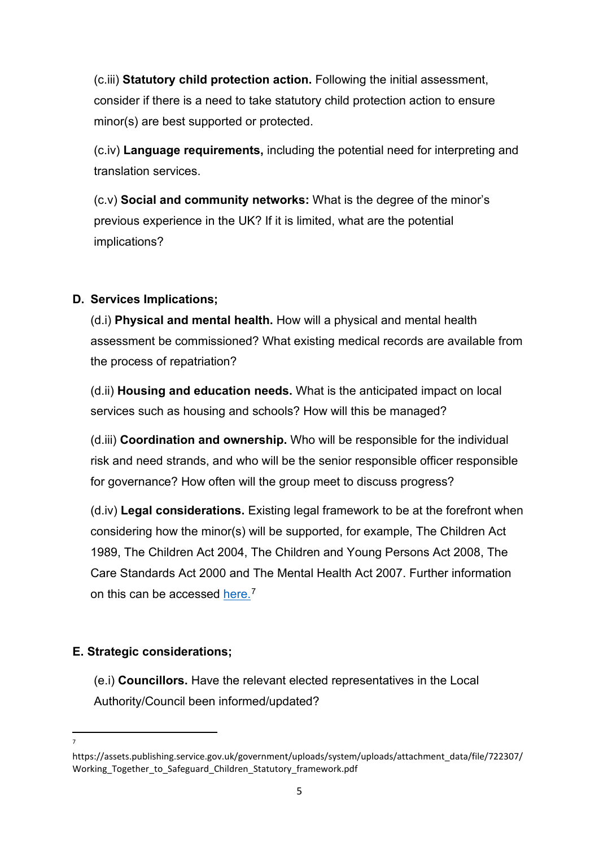(c.iii) **Statutory child protection action.** Following the initial assessment, consider if there is a need to take statutory child protection action to ensure minor(s) are best supported or protected.

(c.iv) **Language requirements,** including the potential need for interpreting and translation services.

(c.v) **Social and community networks:** What is the degree of the minor's previous experience in the UK? If it is limited, what are the potential implications?

## **D. Services Implications;**

(d.i) **Physical and mental health.** How will a physical and mental health assessment be commissioned? What existing medical records are available from the process of repatriation?

(d.ii) **Housing and education needs.** What is the anticipated impact on local services such as housing and schools? How will this be managed?

(d.iii) **Coordination and ownership.** Who will be responsible for the individual risk and need strands, and who will be the senior responsible officer responsible for governance? How often will the group meet to discuss progress?

(d.iv) **Legal considerations.** Existing legal framework to be at the forefront when considering how the minor(s) will be supported, for example, The Children Act 1989, The Children Act 2004, The Children and Young Persons Act 2008, The Care Standards Act 2000 and The Mental Health Act 2007. Further information on this can be accessed [here.](https://assets.publishing.service.gov.uk/government/uploads/system/uploads/attachment_data/file/722307/Working_Together_to_Safeguard_Children_Statutory_framework.pdf)<sup>[7](#page-4-0)</sup>

# **E. Strategic considerations;**

(e.i) **Councillors.** Have the relevant elected representatives in the Local Authority/Council been informed/updated?

7

<span id="page-4-0"></span>https://assets.publishing.service.gov.uk/government/uploads/system/uploads/attachment\_data/file/722307/ Working Together to Safeguard Children Statutory framework.pdf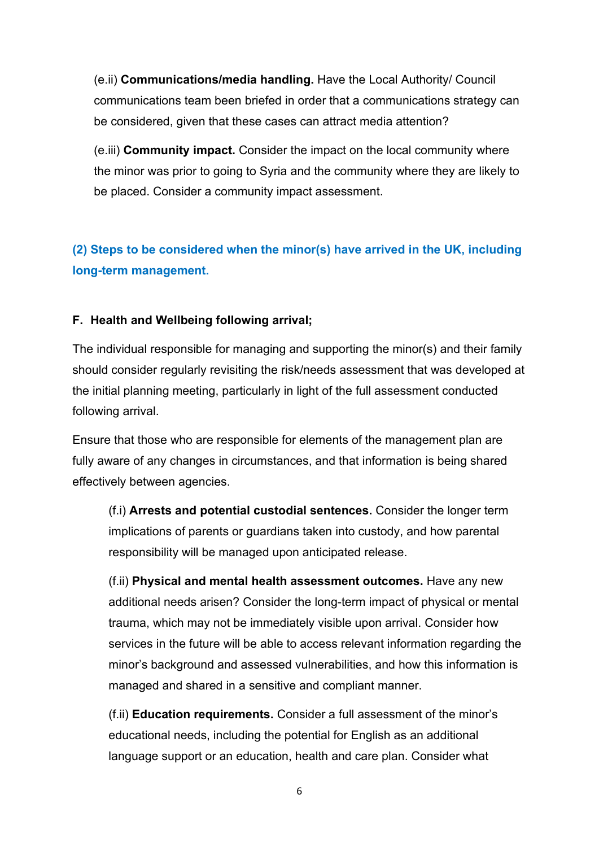(e.ii) **Communications/media handling.** Have the Local Authority/ Council communications team been briefed in order that a communications strategy can be considered, given that these cases can attract media attention?

(e.iii) **Community impact.** Consider the impact on the local community where the minor was prior to going to Syria and the community where they are likely to be placed. Consider a community impact assessment.

**(2) Steps to be considered when the minor(s) have arrived in the UK, including long-term management.**

#### **F. Health and Wellbeing following arrival;**

The individual responsible for managing and supporting the minor(s) and their family should consider regularly revisiting the risk/needs assessment that was developed at the initial planning meeting, particularly in light of the full assessment conducted following arrival.

Ensure that those who are responsible for elements of the management plan are fully aware of any changes in circumstances, and that information is being shared effectively between agencies.

(f.i) **Arrests and potential custodial sentences.** Consider the longer term implications of parents or guardians taken into custody, and how parental responsibility will be managed upon anticipated release.

(f.ii) **Physical and mental health assessment outcomes.** Have any new additional needs arisen? Consider the long-term impact of physical or mental trauma, which may not be immediately visible upon arrival. Consider how services in the future will be able to access relevant information regarding the minor's background and assessed vulnerabilities, and how this information is managed and shared in a sensitive and compliant manner.

(f.ii) **Education requirements.** Consider a full assessment of the minor's educational needs, including the potential for English as an additional language support or an education, health and care plan. Consider what